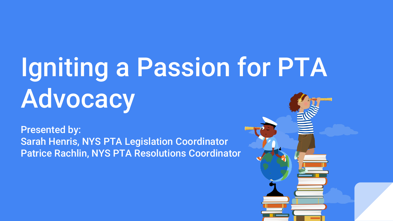# Igniting a Passion for PTA Advocacy

Presented by: Sarah Henris, NYS PTA Legislation Coordinator Patrice Rachlin, NYS PTA Resolutions Coordinator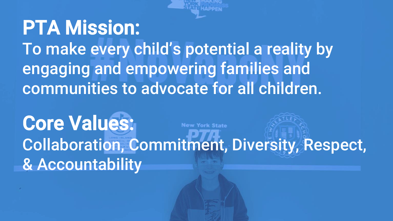# **PTA Mission:** To make every child's potential a reality by engaging and empowering families and communities to advocate for all children.

Core Values: **New York State** Collaboration, Commitment, Diversity, Respect, & Accountability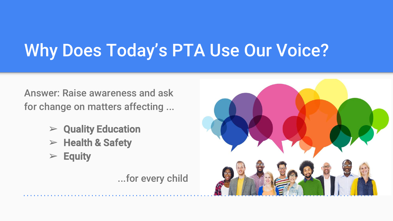## Why Does Today's PTA Use Our Voice?

Answer: Raise awareness and ask for change on matters affecting ...

- $\triangleright$  Quality Education
- $\triangleright$  Health & Safety
- $\triangleright$  Equity

...for every child

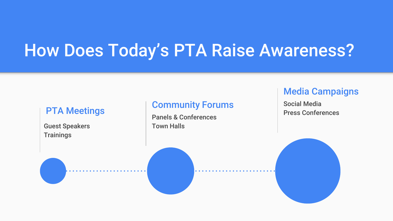### How Does Today's PTA Raise Awareness?

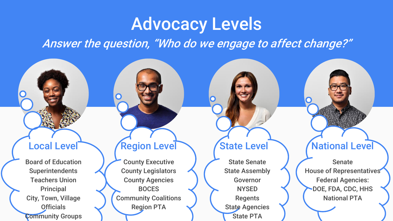### Advocacy Levels

Answer the question, "Who do we engage to affect change?"

Board of Education **Superintendents** Teachers Union **Principal** City, Town, Village **Officials** Community Groups

n

County Executive County Legislators County Agencies BOCES Community Coalitions Region PTA

State Senate State Assembly Governor **NYSED** Regents State Agencies State PTA

### Local Level Region Level (State Level National Level

Senate House of Representatives Federal Agencies: DOE, FDA, CDC, HHS National PTA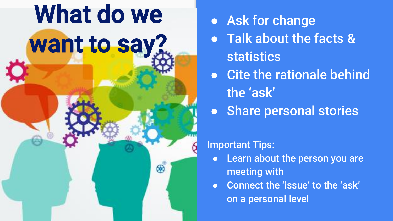

- Ask for change
- **Talk about the facts &** statistics
- Cite the rationale behind the 'ask'
- Share personal stories

### Important Tips:

- Learn about the person you are meeting with
- Connect the 'issue' to the 'ask' on a personal level